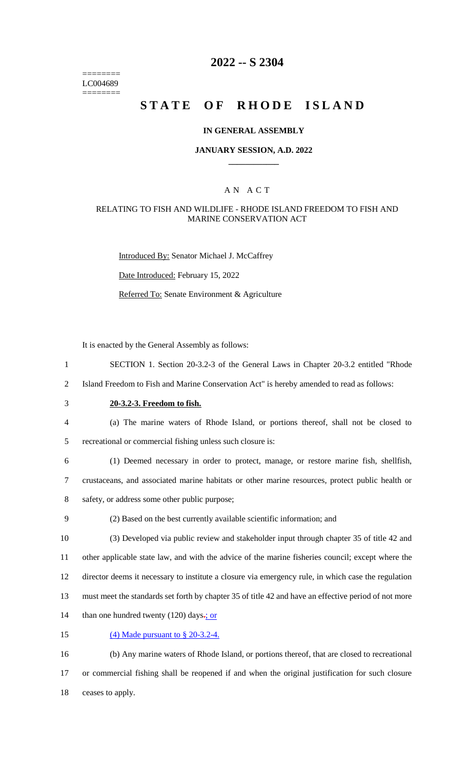======== LC004689 ========

## **2022 -- S 2304**

# **STATE OF RHODE ISLAND**

### **IN GENERAL ASSEMBLY**

#### **JANUARY SESSION, A.D. 2022 \_\_\_\_\_\_\_\_\_\_\_\_**

### A N A C T

### RELATING TO FISH AND WILDLIFE - RHODE ISLAND FREEDOM TO FISH AND MARINE CONSERVATION ACT

Introduced By: Senator Michael J. McCaffrey Date Introduced: February 15, 2022 Referred To: Senate Environment & Agriculture

It is enacted by the General Assembly as follows:

- 1 SECTION 1. Section 20-3.2-3 of the General Laws in Chapter 20-3.2 entitled "Rhode
- 2 Island Freedom to Fish and Marine Conservation Act" is hereby amended to read as follows:
- 

# 3 **20-3.2-3. Freedom to fish.**

4 (a) The marine waters of Rhode Island, or portions thereof, shall not be closed to 5 recreational or commercial fishing unless such closure is:

- 6 (1) Deemed necessary in order to protect, manage, or restore marine fish, shellfish, 7 crustaceans, and associated marine habitats or other marine resources, protect public health or 8 safety, or address some other public purpose;
- 

## 9 (2) Based on the best currently available scientific information; and

 (3) Developed via public review and stakeholder input through chapter 35 of title 42 and other applicable state law, and with the advice of the marine fisheries council; except where the director deems it necessary to institute a closure via emergency rule, in which case the regulation must meet the standards set forth by chapter 35 of title 42 and have an effective period of not more 14 than one hundred twenty (120) days $\frac{1}{2}$  or

15 (4) Made pursuant to § 20-3.2-4.

16 (b) Any marine waters of Rhode Island, or portions thereof, that are closed to recreational 17 or commercial fishing shall be reopened if and when the original justification for such closure 18 ceases to apply.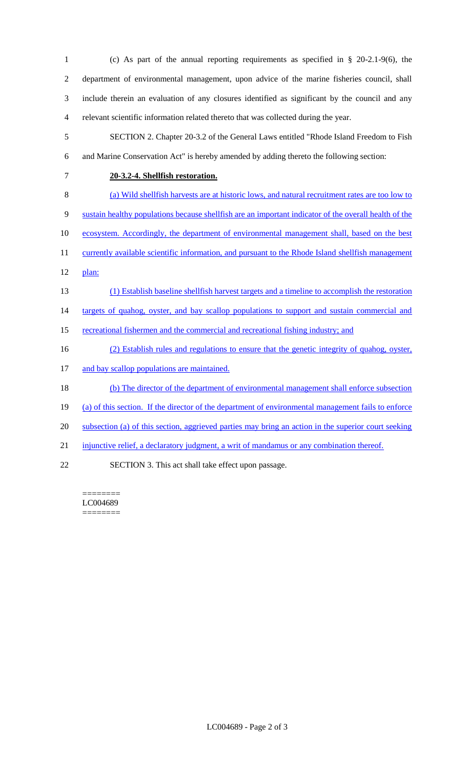| 1              | (c) As part of the annual reporting requirements as specified in $\S$ 20-2.1-9(6), the                 |
|----------------|--------------------------------------------------------------------------------------------------------|
| $\overline{2}$ | department of environmental management, upon advice of the marine fisheries council, shall             |
| $\mathfrak{Z}$ | include therein an evaluation of any closures identified as significant by the council and any         |
| 4              | relevant scientific information related thereto that was collected during the year.                    |
| 5              | SECTION 2. Chapter 20-3.2 of the General Laws entitled "Rhode Island Freedom to Fish                   |
| 6              | and Marine Conservation Act" is hereby amended by adding thereto the following section:                |
| 7              | 20-3.2-4. Shellfish restoration.                                                                       |
| 8              | (a) Wild shellfish harvests are at historic lows, and natural recruitment rates are too low to         |
| 9              | sustain healthy populations because shell fish are an important indicator of the overall health of the |
| 10             | ecosystem. Accordingly, the department of environmental management shall, based on the best            |
| 11             | currently available scientific information, and pursuant to the Rhode Island shellfish management      |
| 12             | plan:                                                                                                  |
| 13             | (1) Establish baseline shellfish harvest targets and a timeline to accomplish the restoration          |
| 14             | targets of qualog, oyster, and bay scallop populations to support and sustain commercial and           |
| 15             | recreational fishermen and the commercial and recreational fishing industry; and                       |
| 16             | (2) Establish rules and regulations to ensure that the genetic integrity of qualog, oyster,            |
| 17             | and bay scallop populations are maintained.                                                            |
| 18             | (b) The director of the department of environmental management shall enforce subsection                |
| 19             | (a) of this section. If the director of the department of environmental management fails to enforce    |
| 20             | subsection (a) of this section, aggrieved parties may bring an action in the superior court seeking    |
| 21             | injunctive relief, a declaratory judgment, a writ of mandamus or any combination thereof.              |

22 SECTION 3. This act shall take effect upon passage.

 $=$ LC004689 ========